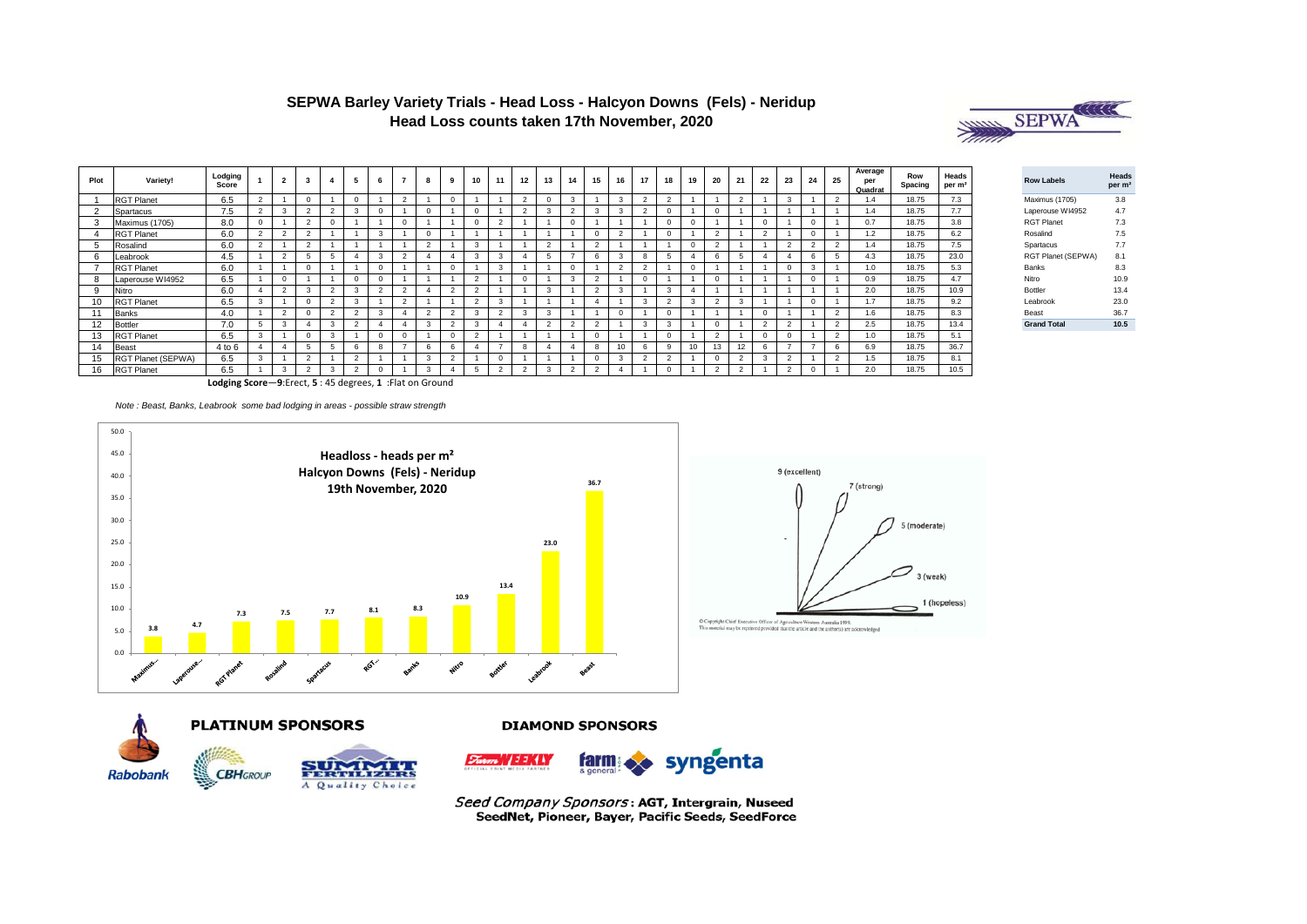## **SEPWA Barley Variety Trials - Head Loss - Halcyon Downs (Fels) - Neridup Head Loss counts taken 17th November, 2020**



| Plot | Variety!           | Lodging<br>Score | $\overline{2}$           |                |          |                |                          |        | 10             | 11 | 12             | 13 | 14             | 15       | 16 | 17       | 18     | 19       | 20             | 21     | 22             | 23             | 24           | 25 | Average<br>per<br>Quadrat | Row<br>Spacing | Heads<br>per m <sup>2</sup> | <b>Row Labels</b>  |                    | Heads<br>per m <sup>2</sup> |
|------|--------------------|------------------|--------------------------|----------------|----------|----------------|--------------------------|--------|----------------|----|----------------|----|----------------|----------|----|----------|--------|----------|----------------|--------|----------------|----------------|--------------|----|---------------------------|----------------|-----------------------------|--------------------|--------------------|-----------------------------|
|      | <b>RGT Planet</b>  | 6.5              |                          |                |          | n              | $\Omega$                 |        |                |    | $\overline{2}$ |    | 3              |          |    | $\Omega$ |        |          |                |        |                |                |              |    | 1.4                       | 18.75          | 7.3                         | Maximus (1705)     |                    | 3.8                         |
|      | Spartacus          | 7.5              | 3                        |                |          | 3              |                          |        |                |    | $\overline{2}$ |    |                |          |    | r.       |        |          |                |        |                |                |              |    | 1.4                       | 18.75          | 7.7                         |                    | Laperouse WI4952   | 4.7                         |
|      | Maximus (1705)     | 8.0              |                          | <b>n</b>       |          |                | $\Omega$                 |        |                |    |                |    | $\Omega$       |          |    |          |        | $\Omega$ |                |        | $\Omega$       |                | $\Omega$     |    | 0.7                       | 18.75          | 3.8                         | <b>RGT Planet</b>  |                    | 7.3                         |
|      | <b>RGT Planet</b>  | 6.0              | $\mathbf{\Omega}$        | <b>n</b>       |          |                |                          |        |                |    |                |    |                |          |    |          |        |          | $\sim$         |        | $\overline{2}$ |                | $\Omega$     |    | 1.2                       | 18.75          | 6.2                         | Rosalind           |                    | 7.5                         |
|      | Rosalind           | 6.0              |                          | $\sim$         |          |                |                          | L.     | 3              |    |                |    |                | $\sim$   |    |          |        | n        | $\sim$         |        |                |                |              |    | 1.4                       | 18.75          | 7.5                         | Spartacus          |                    | 7.7                         |
|      | Leabrook           | 4.5              | $\overline{\phantom{a}}$ |                |          |                | $\overline{\phantom{0}}$ |        | 3              |    | Δ              |    |                | 6        |    | 8        |        |          | 6              |        | -4             |                | 6            |    | 4.3                       | 18.75          | 23.0                        |                    | RGT Planet (SEPWA) | 8.1                         |
|      | <b>RGT Planet</b>  | 6.0              |                          |                |          |                |                          |        |                |    |                |    | $\Omega$       |          |    | $\sim$   |        | $\Omega$ |                |        |                |                | $\mathbf{R}$ |    | 1.0                       | 18.75          | 5.3                         | Banks              |                    | 8.3                         |
|      | Laperouse WI4952   | 6.5              | $\Omega$                 |                |          |                |                          |        | $\sim$         |    | $\Omega$       |    | $\mathbf{R}$   | $\sim$   |    |          |        |          |                |        |                |                | $\Omega$     |    | 0.9                       | 18.75          | 4.7                         | Nitro              |                    | 10.9                        |
| 9    | Nitro              | 6.0              | $\overline{2}$           | $\sim$         | $\Omega$ | 3              | $\overline{\phantom{0}}$ |        | $\overline{2}$ |    |                | 3  |                | 2        |    |          | 3      |          |                |        |                |                |              |    | 2.0                       | 18.75          | 10.9                        | Bottler            |                    | 13.4                        |
| 10   | <b>RGT Planet</b>  | 6.5              |                          |                | $\sim$   | $\mathbf{R}$   | $\sim$                   |        | $\overline{2}$ |    |                |    |                |          |    | 3        | $\sim$ | $\sim$   | $\overline{2}$ |        |                |                | $\Omega$     |    | 1.7                       | 18.75          | 9.2                         | Leabrook           |                    | 23.0                        |
| 11   | <b>Banks</b>       | 4.0              | o                        |                | $\sim$   | $\sim$         |                          | $\sim$ | 3              |    | 3              | 3  |                |          |    |          |        |          |                |        |                |                |              |    | 1.6                       | 18.75          | 8.3                         | Beast              |                    | 36.7                        |
| 12   | <b>Bottler</b>     | 7.0              | 3                        |                | 3        | $\sim$         |                          | 3      | $\mathbf{R}$   |    | $\Delta$       |    | $\sim$         | $\sim$   |    | 3        | 3      |          |                |        | $\overline{2}$ |                |              |    | 2.5                       | 18.75          | 13.4                        | <b>Grand Total</b> |                    | 10.5                        |
| 13   | <b>RGT Planet</b>  | 6.5              |                          |                | 3        |                |                          |        | $\overline{2}$ |    |                |    |                | $\Omega$ |    |          |        |          | $\mathcal{D}$  |        |                |                |              |    | 1.0                       | 18.75          | 5.1                         |                    |                    |                             |
| 14   | <b>Beast</b>       | 4 to 6           |                          |                |          | R              | -                        |        |                |    | 8              |    |                |          |    |          |        |          | 13             | 12     | 6              | -              |              |    | 6.9                       | 18.75          | 36.7                        |                    |                    |                             |
|      | RGT Planet (SEPWA) | 6.5              |                          | n              |          | $\overline{2}$ |                          | 3      |                |    |                |    |                | 0        |    | $\Omega$ | $\sim$ |          | $\Omega$       |        | 3              | $\overline{2}$ |              |    | 1.5                       | 18.75          | 8.1                         |                    |                    |                             |
| 16   | <b>RGT Planet</b>  | 6.5              | $\mathbf{3}$             | $\overline{2}$ | 3        | 2              |                          | 3      |                |    | $\overline{2}$ | 3  | $\overline{2}$ | 2        |    |          |        |          | 2              | $\sim$ |                | $\overline{2}$ |              |    | 2.0                       | 18.75          | 10.5                        |                    |                    |                             |

**Lodging Score**—**9**:Erect, **5** : 45 degrees, **1** :Flat on Ground

*Note : Beast, Banks, Leabrook some bad lodging in areas - possible straw strength* 





5 (moderate)

3 (weak) 1 (hopeless)



**DIAMOND SPONSORS** 

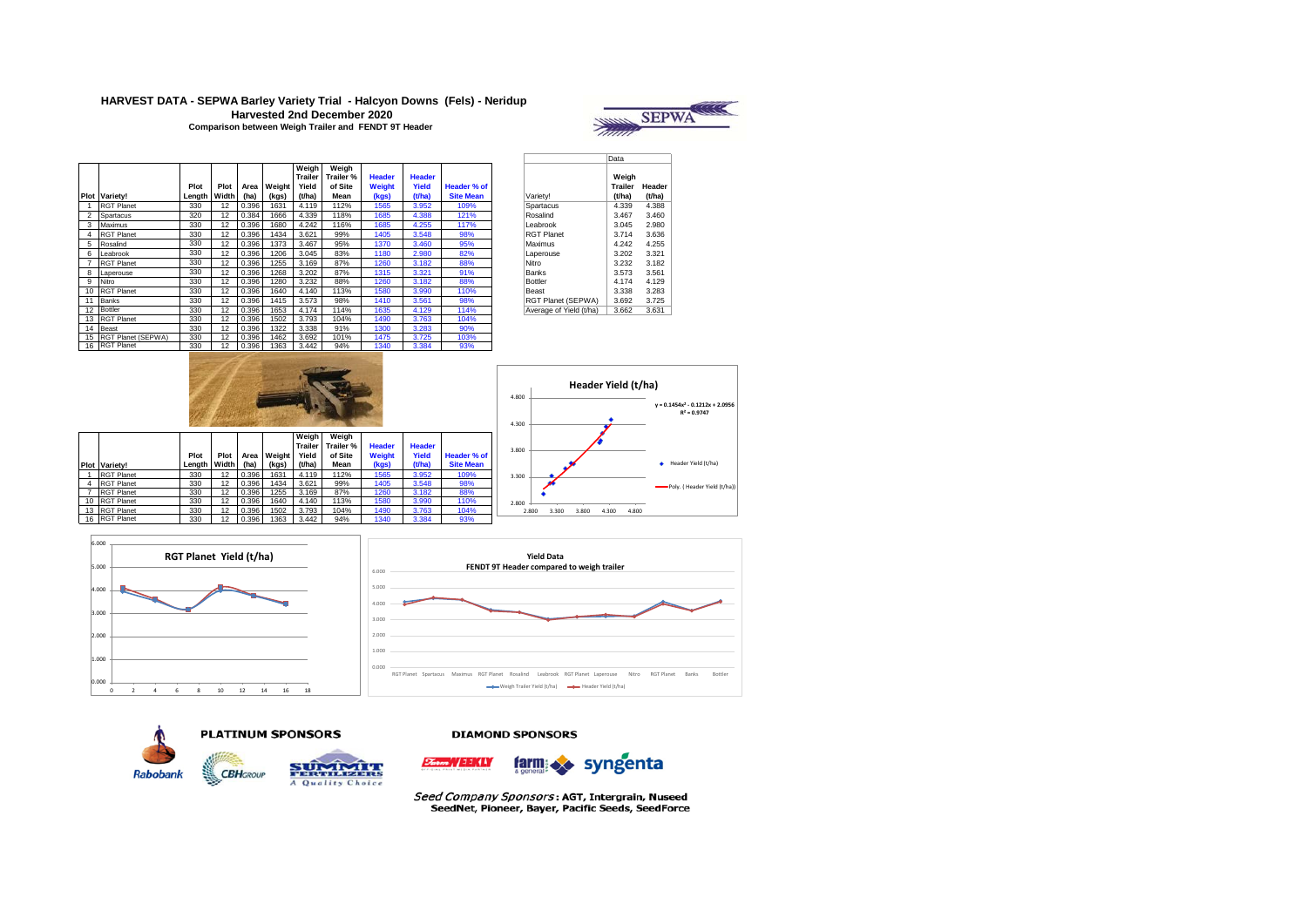## **HARVEST DATA - SEPWA Barley Variety Trial - Halcyon Downs (Fels) - Neridup Harvested 2nd December 2020**



| Comparison between Weigh Trailer and FENDT 9T Header |  |
|------------------------------------------------------|--|
|------------------------------------------------------|--|

|                |                      |        |       |       |        | Weiah          | Weigh     |               |               |                  |                         |         |        |
|----------------|----------------------|--------|-------|-------|--------|----------------|-----------|---------------|---------------|------------------|-------------------------|---------|--------|
|                |                      |        |       |       |        | <b>Trailer</b> | Trailer % | <b>Header</b> | <b>Header</b> |                  |                         | Weiah   |        |
|                |                      | Plot   | Plot  | Area  | Weight | Yield          | of Site   | Weight        | Yield         | Header % of      |                         | Trailer | Heade  |
|                | <b>Plot Variety!</b> | Length | Width | (ha)  | (kgs)  | (t/ha)         | Mean      | (kgs)         | (t/ha)        | <b>Site Mean</b> | Varietv!                | (t/ha)  | (t/ha) |
|                | <b>RGT Planet</b>    | 330    | 12    | 0.396 | 1631   | 4.119          | 112%      | 1565          | 3.952         | 109%             | Spartacus               | 4.339   | 4.388  |
| $\overline{2}$ | Spartacus            | 320    | 12    | 0.384 | 1666   | 4.339          | 118%      | 1685          | 4.388         | 121%             | Rosalind                | 3.467   | 3.460  |
|                | Maximus              | 330    | 12    | 0.396 | 1680   | 4.242          | 116%      | 1685          | 4.255         | 117%             | Leabrook                | 3.045   | 2.980  |
| 4              | <b>RGT Planet</b>    | 330    | 12    | 0.396 | 1434   | 3.621          | 99%       | 1405          | 3.548         | 98%              | <b>RGT Planet</b>       | 3.714   | 3.636  |
| 5              | Rosalind             | 330    | 12    | 0.396 | 1373   | 3.467          | 95%       | 1370          | 3.460         | 95%              | Maximus                 | 4.242   | 4.255  |
| 6              | Leabrook             | 330    | 12    | 0.396 | 1206   | 3.045          | 83%       | 1180          | 2.980         | 82%              | Laperouse               | 3.202   | 3.321  |
|                | <b>RGT Planet</b>    | 330    | 12    | 0.396 | 1255   | 3.169          | 87%       | 1260          | 3.182         | 88%              | Nitro                   | 3.232   | 3.182  |
| 8              | Laperouse            | 330    | 12    | 0.396 | 1268   | 3.202          | 87%       | 1315          | 3.321         | 91%              | Banks                   | 3.573   | 3.561  |
| 9              | Nitro                | 330    | 12    | 0.396 | 1280   | 3.232          | 88%       | 1260          | 3.182         | 88%              | <b>Bottler</b>          | 4.174   | 4.129  |
| 10             | <b>RGT Planet</b>    | 330    | 12    | 0.396 | 1640   | 4.140          | 113%      | 1580          | 3.990         | 110%             | Beast                   | 3.338   | 3.283  |
| 11             | <b>Banks</b>         | 330    | 12    | 0.396 | 1415   | 3.573          | 98%       | 1410          | 3.561         | 98%              | RGT Planet (SEPWA)      | 3.692   | 3.725  |
| 12             | Bottler              | 330    | 12    | 0.396 | 1653   | 4.174          | 114%      | 1635          | 4.129         | 114%             | Average of Yield (t/ha) | 3.662   | 3.631  |
| 13             | <b>RGT Planet</b>    | 330    | 12    | 0.396 | 1502   | 3.793          | 104%      | 1490          | 3.763         | 104%             |                         |         |        |
| 14             | Beast                | 330    | 12    | 0.396 | 1322   | 3.338          | 91%       | 1300          | 3.283         | 90%              |                         |         |        |
| 15             | RGT Planet (SEPWA)   | 330    | 12    | 0.396 | 1462   | 3.692          | 101%      | 1475          | 3.725         | 103%             |                         |         |        |
| 16             | <b>RGT Planet</b>    | 330    | 12    | 0.396 | 1363   | 3.442          | 94%       | 1340          | 3.384         | 93%              |                         |         |        |

|                         | Data                              |                  |
|-------------------------|-----------------------------------|------------------|
| Varietv!                | Weiah<br><b>Trailer</b><br>(t/ha) | Header<br>(t/ha) |
| Spartacus               | 4.339                             | 4.388            |
| Rosalind                | 3.467                             | 3.460            |
| Leabrook                | 3.045                             | 2.980            |
| <b>RGT Planet</b>       | 3.714                             | 3.636            |
| Maximus                 | 4.242                             | 4.255            |
| Laperouse               | 3.202                             | 3.321            |
| Nitro                   | 3.232                             | 3.182            |
| <b>Banks</b>            | 3.573                             | 3.561            |
| <b>Bottler</b>          | 4.174                             | 4.129            |
| <b>Beast</b>            | 3.338                             | 3.283            |
| RGT Planet (SEPWA)      | 3.692                             | 3.725            |
| Average of Yield (t/ha) | 3.662                             | 3.631            |











#### **DIAMOND SPONSORS**



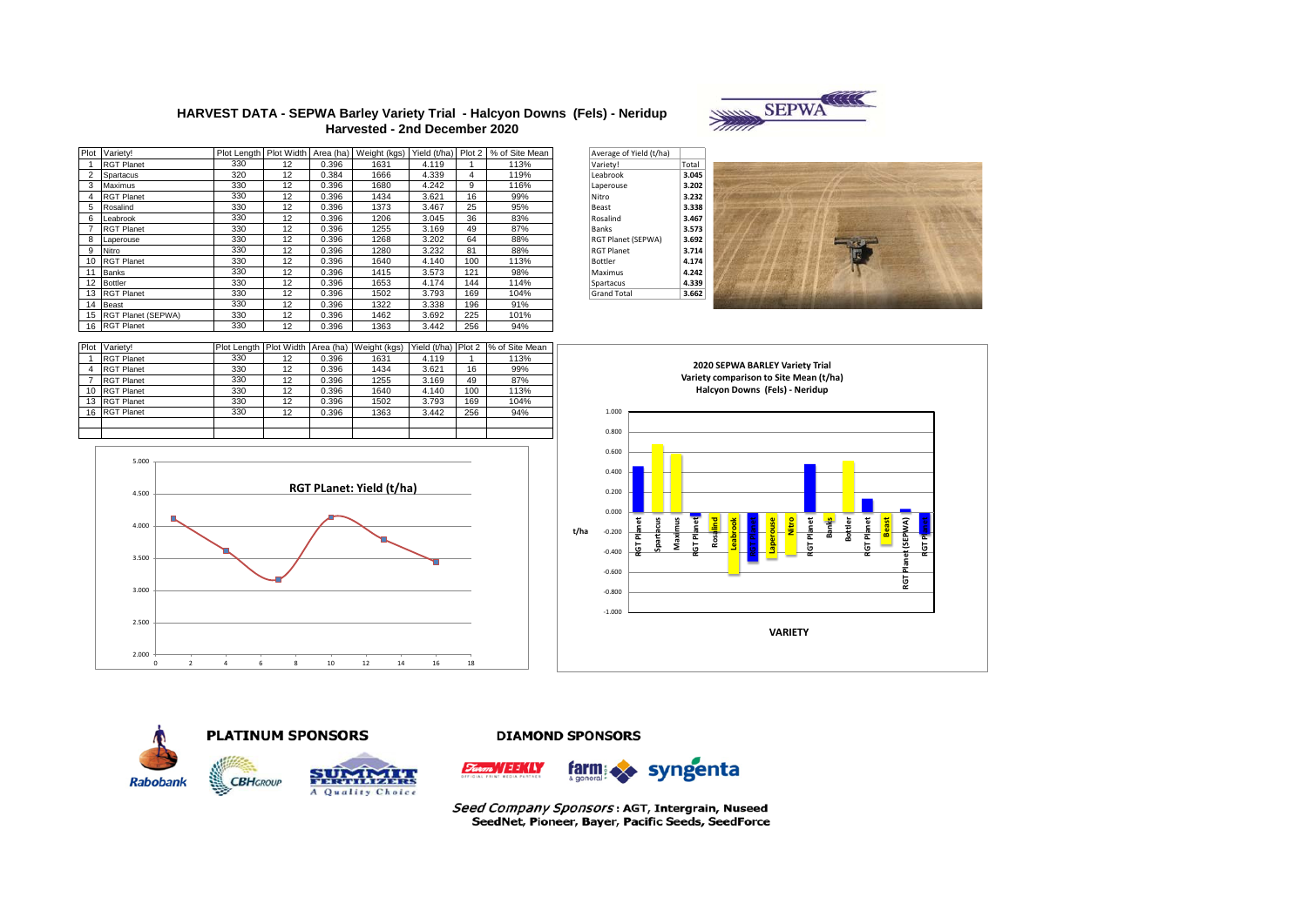

## **HARVEST DATA - SEPWA Barley Variety Trial - Halcyon Downs (Fels) - Neridup Harvested - 2nd December 2020**

| Plot | Variety!           |     |    |       | Plot Length Plot Width Area (ha) Weight (kgs) | Yield (t/ha) Plot 2 |     | % of Site Mean | Average of Yield (t/ha) |       |
|------|--------------------|-----|----|-------|-----------------------------------------------|---------------------|-----|----------------|-------------------------|-------|
|      | <b>RGT Planet</b>  | 330 | 12 | 0.396 | 1631                                          | 4.119               |     | 113%           | Variety!                | Total |
|      | Spartacus          | 320 | 12 | 0.384 | 1666                                          | 4.339               | 4   | 119%           | Leabrook                | 3.045 |
| 3    | Maximus            | 330 | 12 | 0.396 | 1680                                          | 4.242               | 9   | 116%           | Laperouse               | 3.202 |
|      | <b>RGT Planet</b>  | 330 | 12 | 0.396 | 1434                                          | 3.621               | 16  | 99%            | Nitro                   | 3.232 |
| 5    | Rosalind           | 330 | 12 | 0.396 | 1373                                          | 3.467               | 25  | 95%            | Beast                   | 3.338 |
| 6    | Leabrook           | 330 | 12 | 0.396 | 1206                                          | 3.045               | 36  | 83%            | Rosalind                | 3.467 |
|      | <b>RGT Planet</b>  | 330 | 12 | 0.396 | 1255                                          | 3.169               | 49  | 87%            | Banks                   | 3.573 |
| 8    | Laperouse          | 330 | 12 | 0.396 | 1268                                          | 3.202               | 64  | 88%            | RGT Planet (SEPWA)      | 3.692 |
| 9    | Nitro              | 330 | 12 | 0.396 | 1280                                          | 3.232               | 81  | 88%            | <b>RGT Planet</b>       | 3.714 |
| 10   | <b>RGT Planet</b>  | 330 | 12 | 0.396 | 1640                                          | 4.140               | 100 | 113%           | Bottler                 | 4.174 |
| 11   | Banks              | 330 | 12 | 0.396 | 1415                                          | 3.573               | 121 | 98%            | Maximus                 | 4.242 |
| 12   | <b>Bottler</b>     | 330 | 12 | 0.396 | 1653                                          | 4.174               | 144 | 114%           | Spartacus               | 4.339 |
| 13   | <b>RGT Planet</b>  | 330 | 12 | 0.396 | 1502                                          | 3.793               | 169 | 104%           | <b>Grand Total</b>      | 3.662 |
| 14   | Beast              | 330 | 12 | 0.396 | 1322                                          | 3.338               | 196 | 91%            |                         |       |
| 15   | RGT Planet (SEPWA) | 330 | 12 | 0.396 | 1462                                          | 3.692               | 225 | 101%           |                         |       |
|      | 16 RGT Planet      | 330 | 12 | 0.396 | 1363                                          | 3.442               | 256 | 94%            |                         |       |

| Average of Yield (t/ha) |       |
|-------------------------|-------|
| Variety!                | Total |
| Leabrook                | 3.045 |
| Laperouse               | 3.202 |
| Nitro                   | 3.232 |
| <b>Beast</b>            | 3.338 |
| Rosalind                | 3.467 |
| <b>Banks</b>            | 3.573 |
| RGT Planet (SEPWA)      | 3.692 |
| <b>RGT Planet</b>       | 3.714 |
| <b>Bottler</b>          | 4.174 |
| Maximus                 | 4.242 |
| Spartacus               | 4.339 |
| <b>Grand Total</b>      | 3.662 |



| Plot | Variety!          | Plot Length Plot Width |    |       | Area (ha) Weight (kgs) | Yield (t/ha) Plot 2 |     | % of Site Mean |
|------|-------------------|------------------------|----|-------|------------------------|---------------------|-----|----------------|
|      | <b>RGT Planet</b> | 330                    | 12 | 0.396 | 1631                   | 4.119               |     | 113%           |
| 4    | <b>RGT Planet</b> | 330                    | 12 | 0.396 | 1434                   | 3.621               | 16  | 99%            |
|      | <b>RGT Planet</b> | 330                    | 12 | 0.396 | 1255                   | 3.169               | 49  | 87%            |
| 10   | <b>RGT Planet</b> | 330                    | 12 | 0.396 | 1640                   | 4.140               | 100 | 113%           |
| 13   | <b>RGT Planet</b> | 330                    | 12 | 0.396 | 1502                   | 3.793               | 169 | 104%           |
| 16   | <b>RGT Planet</b> | 330                    | 12 | 0.396 | 1363                   | 3.442               | 256 | 94%            |
|      |                   |                        |    |       |                        |                     |     |                |
|      |                   |                        |    |       |                        |                     |     |                |











**DIAMOND SPONSORS** 

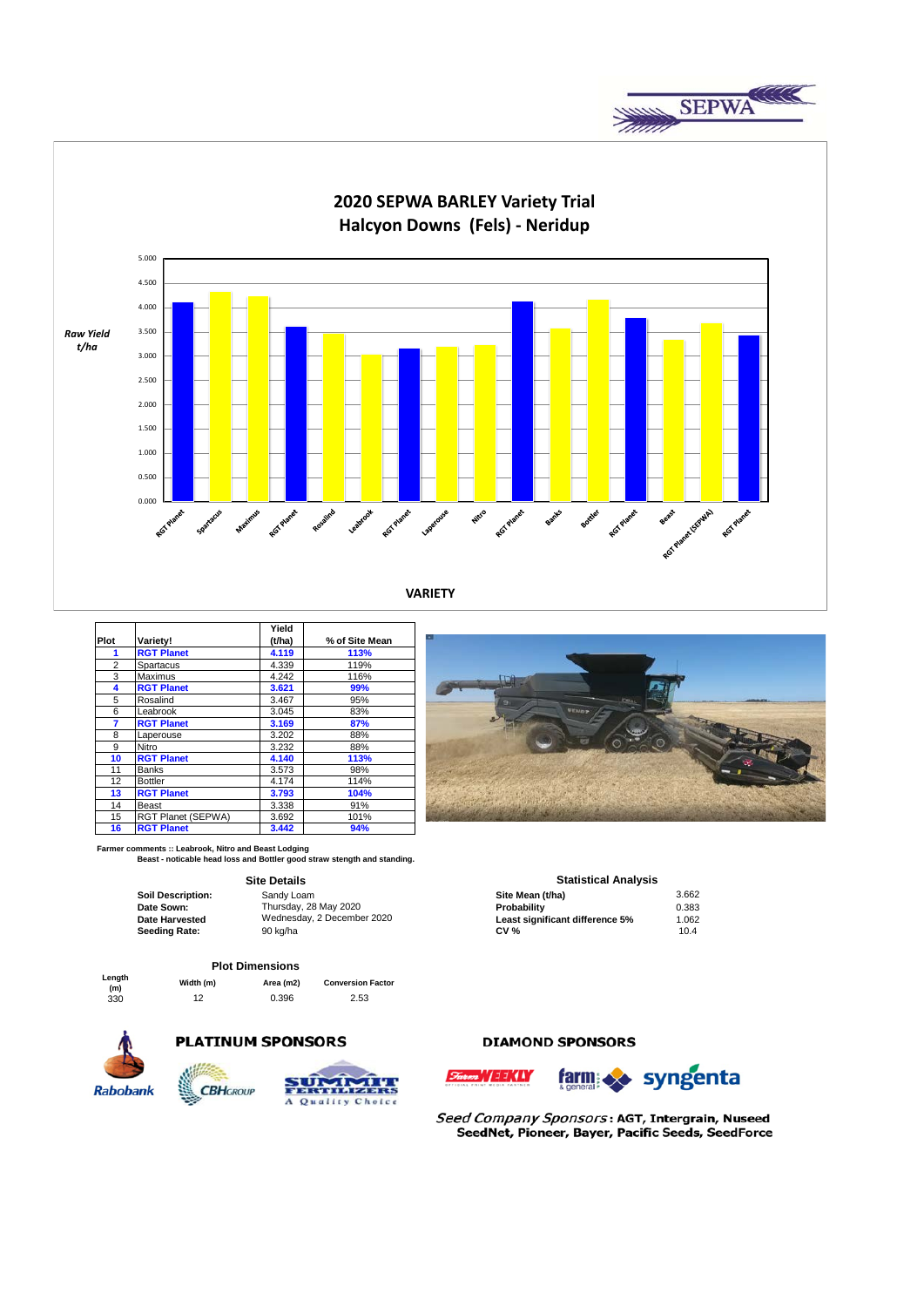



|                |                    | Yield  |                |
|----------------|--------------------|--------|----------------|
| Plot           | Variety!           | (t/ha) | % of Site Mean |
| 1              | <b>RGT Planet</b>  | 4.119  | 113%           |
| $\overline{2}$ | Spartacus          | 4.339  | 119%           |
| 3              | Maximus            | 4.242  | 116%           |
| 4              | <b>RGT Planet</b>  | 3.621  | 99%            |
| 5              | Rosalind           | 3.467  | 95%            |
| 6              | Leabrook           | 3.045  | 83%            |
| 7              | <b>RGT Planet</b>  | 3.169  | 87%            |
| 8              | Laperouse          | 3.202  | 88%            |
| 9              | Nitro              | 3.232  | 88%            |
| 10             | <b>RGT Planet</b>  | 4.140  | 113%           |
| 11             | <b>Banks</b>       | 3.573  | 98%            |
| 12             | <b>Bottler</b>     | 4.174  | 114%           |
| 13             | <b>RGT Planet</b>  | 3.793  | 104%           |
| 14             | Beast              | 3.338  | 91%            |
| 15             | RGT Planet (SEPWA) | 3.692  | 101%           |
| 16             | <b>RGT Planet</b>  | 3.442  | 94%            |

**Farmer comments :: Leabrook, Nitro and Beast Lodging Beast - noticable head loss and Bottler good straw stength and standing.**

### **Site Details**

| Soil Description: | Sandy Loam                 | Site Mean (t/ha)                | 3.66  |
|-------------------|----------------------------|---------------------------------|-------|
| Date Sown:        | Thursdav, 28 May 2020      | Probability                     | 0.383 |
| Date Harvested    | Wednesday, 2 December 2020 | Least significant difference 5% | .062  |
| Seeding Rate:     | 90 ka/ha                   | <b>CV %</b>                     | 10.4  |
|                   |                            |                                 |       |

#### **Plot Dimensions**

|               |           | .         |                          |
|---------------|-----------|-----------|--------------------------|
| Length<br>(m) | Width (m) | Area (m2) | <b>Conversion Factor</b> |
| 330           | 12        | 0.396     | 2.53                     |



## **PLATINUM SPONSORS**



# **DIAMOND SPONSORS**





|                   | <b>Site Details</b>        | <b>Statistical Analysis</b>     |       |
|-------------------|----------------------------|---------------------------------|-------|
| Soil Description: | Sandy Loam                 | Site Mean (t/ha)                | 3.662 |
| Date Sown:        | Thursdav, 28 May 2020      | Probability                     | 0.383 |
| Date Harvested    | Wednesday, 2 December 2020 | Least significant difference 5% | 1.062 |
| Seeding Rate:     | 90 ka/ha                   | CV %                            | 104   |